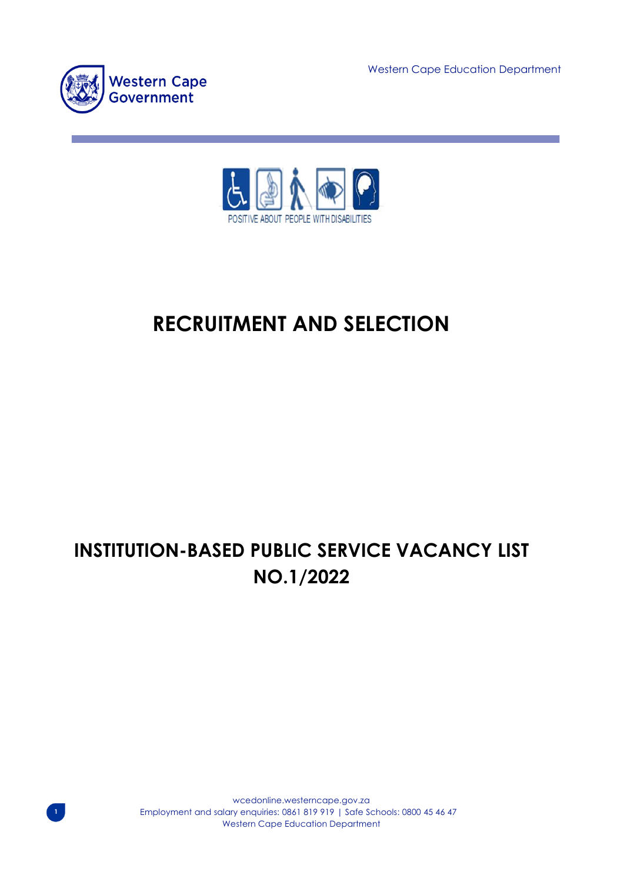Western Cape Education Department



**1**



# **RECRUITMENT AND SELECTION**

# **INSTITUTION-BASED PUBLIC SERVICE VACANCY LIST NO.1/2022**

wcedonline.westerncape.gov.za Employment and salary enquiries: 0861 819 919 | Safe Schools: 0800 45 46 47 Western Cape Education Department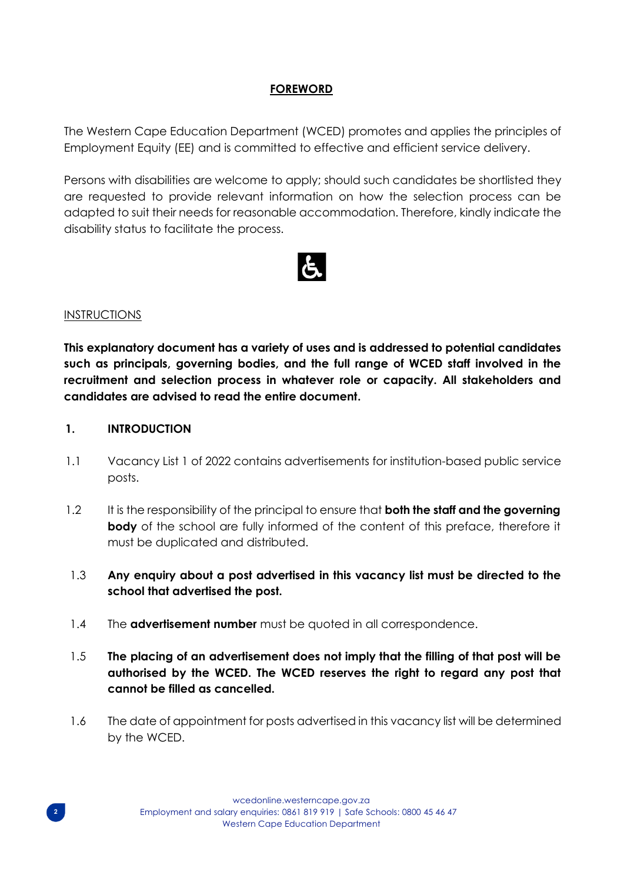### **FOREWORD**

The Western Cape Education Department (WCED) promotes and applies the principles of Employment Equity (EE) and is committed to effective and efficient service delivery.

Persons with disabilities are welcome to apply; should such candidates be shortlisted they are requested to provide relevant information on how the selection process can be adapted to suit their needs for reasonable accommodation. Therefore, kindly indicate the disability status to facilitate the process.



#### INSTRUCTIONS

**This explanatory document has a variety of uses and is addressed to potential candidates such as principals, governing bodies, and the full range of WCED staff involved in the recruitment and selection process in whatever role or capacity. All stakeholders and candidates are advised to read the entire document.** 

### **1. INTRODUCTION**

- 1.1 Vacancy List 1 of 2022 contains advertisements for institution-based public service posts.
- 1.2 It is the responsibility of the principal to ensure that **both the staff and the governing body** of the school are fully informed of the content of this preface, therefore it must be duplicated and distributed.
- 1.3 **Any enquiry about a post advertised in this vacancy list must be directed to the school that advertised the post.**
- 1.4 The **advertisement number** must be quoted in all correspondence.
- 1.5 **The placing of an advertisement does not imply that the filling of that post will be authorised by the WCED. The WCED reserves the right to regard any post that cannot be filled as cancelled.**
- 1.6 The date of appointment for posts advertised in this vacancy list will be determined by the WCED.

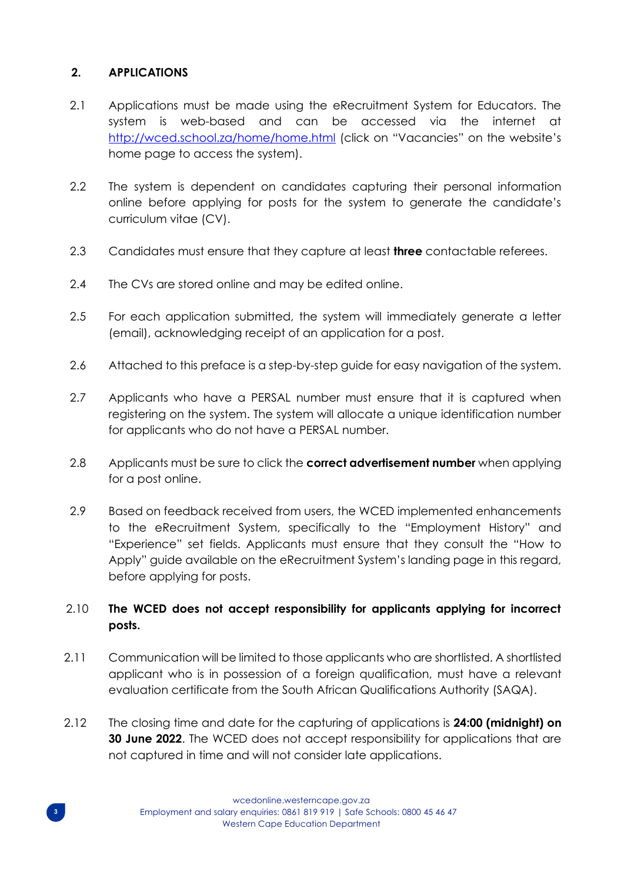# **2. APPLICATIONS**

- 2.1 Applications must be made using the eRecruitment System for Educators. The system is web-based and can be accessed via the internet at <http://wced.school.za/home/home.html> (click on "Vacancies" on the website's home page to access the system).
- 2.2 The system is dependent on candidates capturing their personal information online before applying for posts for the system to generate the candidate's curriculum vitae (CV).
- 2.3 Candidates must ensure that they capture at least **three** contactable referees.
- 2.4 The CVs are stored online and may be edited online.
- 2.5 For each application submitted, the system will immediately generate a letter (email), acknowledging receipt of an application for a post.
- 2.6 Attached to this preface is a step-by-step guide for easy navigation of the system.
- 2.7 Applicants who have a PERSAL number must ensure that it is captured when registering on the system. The system will allocate a unique identification number for applicants who do not have a PERSAL number.
- 2.8 Applicants must be sure to click the **correct advertisement number** when applying for a post online.
- 2.9 Based on feedback received from users, the WCED implemented enhancements to the eRecruitment System, specifically to the "Employment History" and "Experience" set fields. Applicants must ensure that they consult the "How to Apply" guide available on the eRecruitment System's landing page in this regard, before applying for posts.

# 2.10 **The WCED does not accept responsibility for applicants applying for incorrect posts.**

- 2.11 Communication will be limited to those applicants who are shortlisted. A shortlisted applicant who is in possession of a foreign qualification, must have a relevant evaluation certificate from the South African Qualifications Authority (SAQA).
- **3 30 June 2022**. The WCED does not accept responsibility for applications that are 2.12 The closing time and date for the capturing of applications is **24:00 (midnight) on** not captured in time and will not consider late applications.

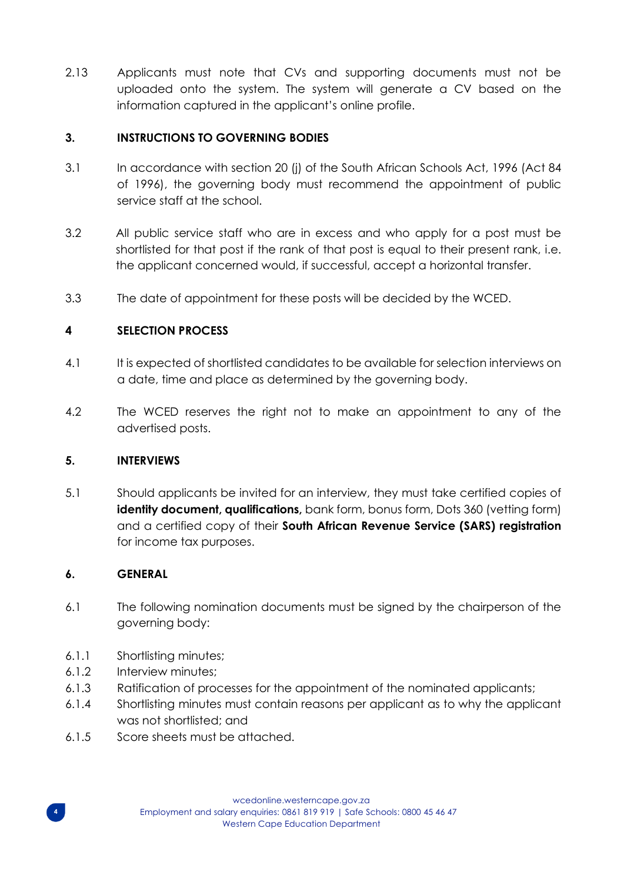2.13 Applicants must note that CVs and supporting documents must not be uploaded onto the system. The system will generate a CV based on the information captured in the applicant's online profile.

## **3. INSTRUCTIONS TO GOVERNING BODIES**

- 3.1 In accordance with section 20 (j) of the South African Schools Act, 1996 (Act 84 of 1996), the governing body must recommend the appointment of public service staff at the school.
- 3.2 All public service staff who are in excess and who apply for a post must be shortlisted for that post if the rank of that post is equal to their present rank, i.e. the applicant concerned would, if successful, accept a horizontal transfer.
- 3.3 The date of appointment for these posts will be decided by the WCED.

# **4 SELECTION PROCESS**

- 4.1 It is expected of shortlisted candidates to be available for selection interviews on a date, time and place as determined by the governing body.
- 4.2 The WCED reserves the right not to make an appointment to any of the advertised posts.

### **5. INTERVIEWS**

5.1 Should applicants be invited for an interview, they must take certified copies of **identity document, qualifications,** bank form, bonus form, Dots 360 (vetting form) and a certified copy of their **South African Revenue Service (SARS) registration** for income tax purposes.

### **6. GENERAL**

- 6.1 The following nomination documents must be signed by the chairperson of the governing body:
- 6.1.1 Shortlisting minutes;
- 6.1.2 Interview minutes;
- 6.1.3 Ratification of processes for the appointment of the nominated applicants;
- 6.1.4 Shortlisting minutes must contain reasons per applicant as to why the applicant was not shortlisted; and
- **4** 6.1.5 Score sheets must be attached.

wcedonline.westerncape.gov.za Employment and salary enquiries: 0861 819 919 | Safe Schools: 0800 45 46 47 Western Cape Education Department